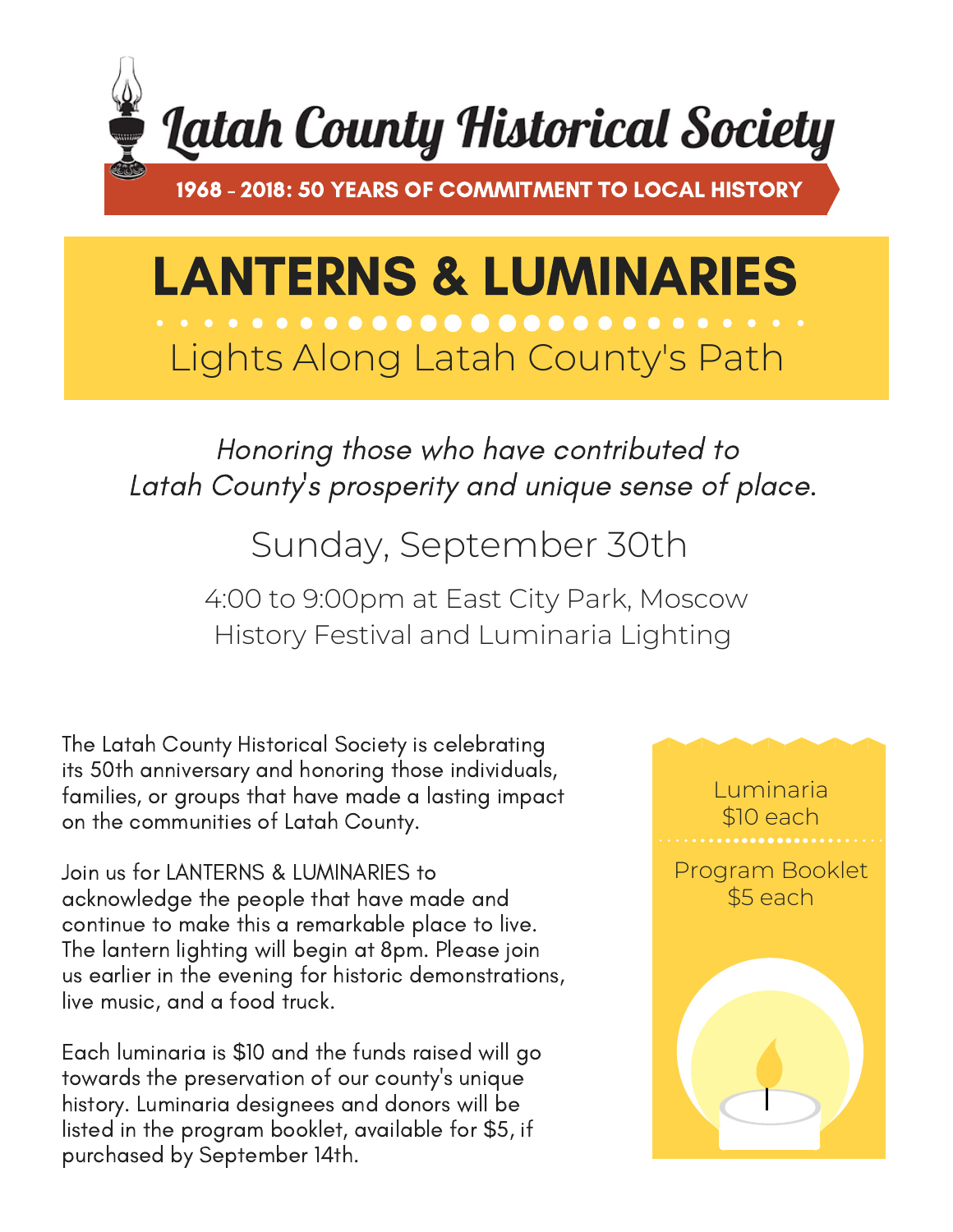

## LANTERNS & LUMINARIES Lights Along Latah County's Path

Honoring those who have contributed to Latah County 's prosperity and unique sense of place.

Sunday, September 30th

4:00 to 9:00pm at East City Park, Moscow History Festival and Luminaria Lighting

The Latah County Historical Society is celebrating its 50th anniversary and honoring those individuals, families, or groups that have made a lasting impact on the communities of Latah County.

Join us for LANTERNS & LUMINARIES to acknowledge the people that have made and continue to make this a remarkable place to live. The lantern lighting will begin at 8pm. Please join us earlier in the evening for historic demonstrations, live music, and a food truck.

Each luminaria is \$10 and the funds raised will go towards the preservation of our county's unique history. Luminaria designees and donors will be listed in the program booklet, available for \$5, if purchased by September 14th.